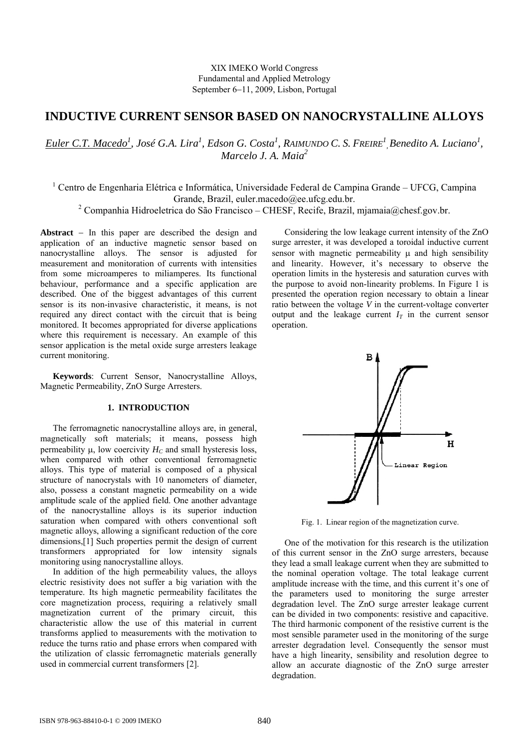XIX IMEKO World Congress Fundamental and Applied Metrology September 6−11, 2009, Lisbon, Portugal

# **INDUCTIVE CURRENT SENSOR BASED ON NANOCRYSTALLINE ALLOYS**

*Euler C.T. Macedo1 , José G.A. Lira1 , Edson G. Costa<sup>1</sup> , RAIMUNDO C. S. FREIRE<sup>1</sup> ,Benedito A. Luciano1 , Marcelo J. A. Maia2* 

<sup>1</sup> Centro de Engenharia Elétrica e Informática, Universidade Federal de Campina Grande - UFCG, Campina Grande, Brazil, euler.macedo@ee.ufcg.edu.br. <sup>2</sup> Companhia Hidroeletrica do São Francisco – CHESF, Recife, Brazil, mjamaia@chesf.gov.br.

**Abstract** − In this paper are described the design and application of an inductive magnetic sensor based on nanocrystalline alloys. The sensor is adjusted for measurement and monitoration of currents with intensities from some microamperes to miliamperes. Its functional behaviour, performance and a specific application are described. One of the biggest advantages of this current sensor is its non-invasive characteristic, it means, is not required any direct contact with the circuit that is being monitored. It becomes appropriated for diverse applications where this requirement is necessary. An example of this sensor application is the metal oxide surge arresters leakage current monitoring.

**Keywords**: Current Sensor, Nanocrystalline Alloys, Magnetic Permeability, ZnO Surge Arresters.

## **1. INTRODUCTION**

The ferromagnetic nanocrystalline alloys are, in general, magnetically soft materials; it means, possess high permeability  $\mu$ , low coercivity  $H_C$  and small hysteresis loss, when compared with other conventional ferromagnetic alloys. This type of material is composed of a physical structure of nanocrystals with 10 nanometers of diameter, also, possess a constant magnetic permeability on a wide amplitude scale of the applied field. One another advantage of the nanocrystalline alloys is its superior induction saturation when compared with others conventional soft magnetic alloys, allowing a significant reduction of the core dimensions,[1] Such properties permit the design of current transformers appropriated for low intensity signals monitoring using nanocrystalline alloys.

In addition of the high permeability values, the alloys electric resistivity does not suffer a big variation with the temperature. Its high magnetic permeability facilitates the core magnetization process, requiring a relatively small magnetization current of the primary circuit, this characteristic allow the use of this material in current transforms applied to measurements with the motivation to reduce the turns ratio and phase errors when compared with the utilization of classic ferromagnetic materials generally used in commercial current transformers [2].

Considering the low leakage current intensity of the ZnO surge arrester, it was developed a toroidal inductive current sensor with magnetic permeability  $\mu$  and high sensibility and linearity. However, it's necessary to observe the operation limits in the hysteresis and saturation curves with the purpose to avoid non-linearity problems. In Figure 1 is presented the operation region necessary to obtain a linear ratio between the voltage *V* in the current-voltage converter output and the leakage current  $I_T$  in the current sensor operation.



Fig. 1. Linear region of the magnetization curve.

One of the motivation for this research is the utilization of this current sensor in the ZnO surge arresters, because they lead a small leakage current when they are submitted to the nominal operation voltage. The total leakage current amplitude increase with the time, and this current it's one of the parameters used to monitoring the surge arrester degradation level. The ZnO surge arrester leakage current can be divided in two components: resistive and capacitive. The third harmonic component of the resistive current is the most sensible parameter used in the monitoring of the surge arrester degradation level. Consequently the sensor must have a high linearity, sensibility and resolution degree to allow an accurate diagnostic of the ZnO surge arrester degradation.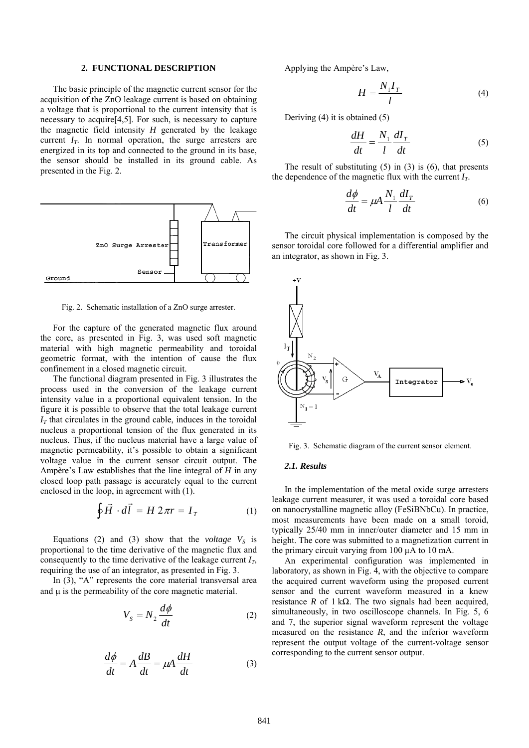#### **2. FUNCTIONAL DESCRIPTION**

The basic principle of the magnetic current sensor for the acquisition of the ZnO leakage current is based on obtaining a voltage that is proportional to the current intensity that is necessary to acquire[4,5]. For such, is necessary to capture the magnetic field intensity *H* generated by the leakage current  $I_T$ . In normal operation, the surge arresters are energized in its top and connected to the ground in its base, the sensor should be installed in its ground cable. As presented in the Fig. 2.



Fig. 2. Schematic installation of a ZnO surge arrester.

For the capture of the generated magnetic flux around the core, as presented in Fig. 3, was used soft magnetic material with high magnetic permeability and toroidal geometric format, with the intention of cause the flux confinement in a closed magnetic circuit.

The functional diagram presented in Fig. 3 illustrates the process used in the conversion of the leakage current intensity value in a proportional equivalent tension. In the figure it is possible to observe that the total leakage current  $I_T$  that circulates in the ground cable, induces in the toroidal nucleus a proportional tension of the flux generated in its nucleus. Thus, if the nucleus material have a large value of magnetic permeability, it's possible to obtain a significant voltage value in the current sensor circuit output. The Ampère's Law establishes that the line integral of *H* in any closed loop path passage is accurately equal to the current enclosed in the loop, in agreement with (1).

$$
\oint \vec{H} \cdot d\vec{l} = H \, 2\pi r = I_T \tag{1}
$$

Equations (2) and (3) show that the *voltage*  $V_s$  is proportional to the time derivative of the magnetic flux and consequently to the time derivative of the leakage current  $I<sub>T</sub>$ , requiring the use of an integrator, as presented in Fig. 3.

In (3), "A" represents the core material transversal area and μ is the permeability of the core magnetic material.

$$
V_s = N_2 \frac{d\phi}{dt} \tag{2}
$$

$$
\frac{d\phi}{dt} = A\frac{dB}{dt} = \mu A \frac{dH}{dt}
$$
 (3)

Applying the Ampère's Law,

$$
H = \frac{N_1 I_T}{l} \tag{4}
$$

Deriving (4) it is obtained (5)

$$
\frac{dH}{dt} = \frac{N_1}{l} \frac{dI_T}{dt} \tag{5}
$$

The result of substituting  $(5)$  in  $(3)$  is  $(6)$ , that presents the dependence of the magnetic flux with the current  $I_T$ .

$$
\frac{d\phi}{dt} = \mu A \frac{N_1}{l} \frac{dI_T}{dt}
$$
 (6)

The circuit physical implementation is composed by the sensor toroidal core followed for a differential amplifier and an integrator, as shown in Fig. 3.



Fig. 3. Schematic diagram of the current sensor element.

#### *2.1. Results*

In the implementation of the metal oxide surge arresters leakage current measurer, it was used a toroidal core based on nanocrystalline magnetic alloy (FeSiBNbCu). In practice, most measurements have been made on a small toroid, typically 25/40 mm in inner/outer diameter and 15 mm in height. The core was submitted to a magnetization current in the primary circuit varying from 100 µA to 10 mA.

An experimental configuration was implemented in laboratory, as shown in Fig. 4, with the objective to compare the acquired current waveform using the proposed current sensor and the current waveform measured in a knew resistance *R* of 1 kΩ. The two signals had been acquired, simultaneously, in two oscilloscope channels. In Fig. 5, 6 and 7, the superior signal waveform represent the voltage measured on the resistance *R*, and the inferior waveform represent the output voltage of the current-voltage sensor corresponding to the current sensor output.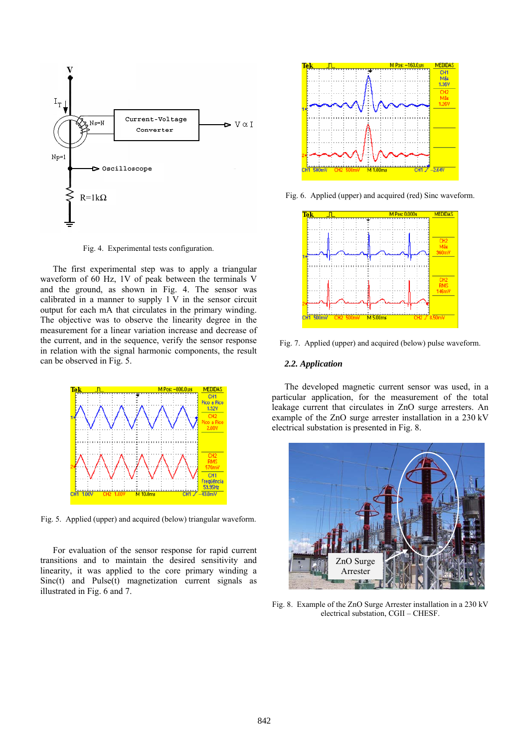

Fig. 4. Experimental tests configuration.

The first experimental step was to apply a triangular waveform of 60 Hz, 1V of peak between the terminals V and the ground, as shown in Fig. 4. The sensor was calibrated in a manner to supply 1 V in the sensor circuit output for each mA that circulates in the primary winding. The objective was to observe the linearity degree in the measurement for a linear variation increase and decrease of the current, and in the sequence, verify the sensor response in relation with the signal harmonic components, the result can be observed in Fig. 5.



Fig. 5. Applied (upper) and acquired (below) triangular waveform.

For evaluation of the sensor response for rapid current transitions and to maintain the desired sensitivity and linearity, it was applied to the core primary winding a Sinc(t) and Pulse(t) magnetization current signals as illustrated in Fig. 6 and 7.



Fig. 6. Applied (upper) and acquired (red) Sinc waveform.



Fig. 7. Applied (upper) and acquired (below) pulse waveform.

### *2.2. Application*

The developed magnetic current sensor was used, in a particular application, for the measurement of the total leakage current that circulates in ZnO surge arresters. An example of the ZnO surge arrester installation in a 230 kV electrical substation is presented in Fig. 8.



Fig. 8. Example of the ZnO Surge Arrester installation in a 230 kV electrical substation, CGII – CHESF.